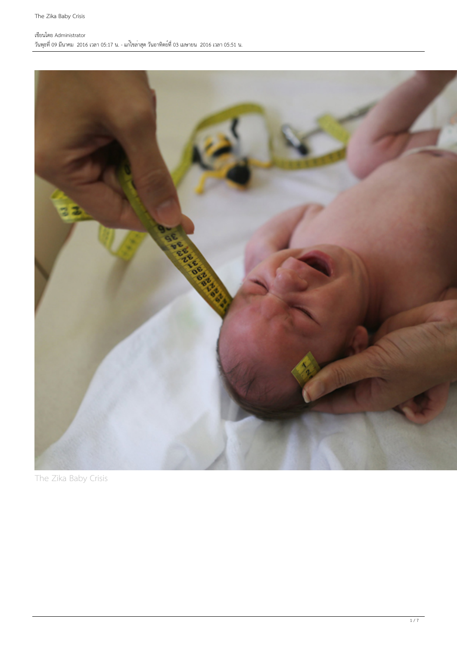### เขียนโดย Administrator วันพุธที่ 09 มีนาคม 2016 เวลา 05:17 น. - แก้ไขล่าสุด วันอาทิตย์ที่ 03 เมษายน 2016 เวลา 05:51 น.



The Zika Baby Crisis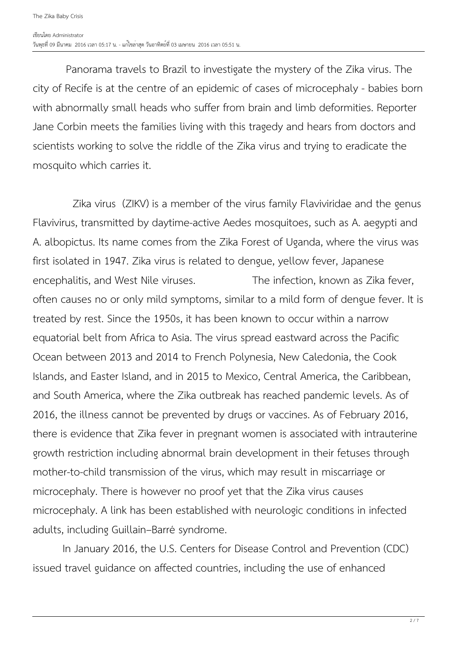Panorama travels to Brazil to investigate the mystery of the Zika virus. The city of Recife is at the centre of an epidemic of cases of microcephaly - babies born with abnormally small heads who suffer from brain and limb deformities. Reporter Jane Corbin meets the families living with this tragedy and hears from doctors and scientists working to solve the riddle of the Zika virus and trying to eradicate the mosquito which carries it.

 Zika virus (ZIKV) is a member of the virus family Flaviviridae and the genus Flavivirus, transmitted by daytime-active Aedes mosquitoes, such as A. aegypti and A. albopictus. Its name comes from the Zika Forest of Uganda, where the virus was first isolated in 1947. Zika virus is related to dengue, yellow fever, Japanese encephalitis, and West Nile viruses. The infection, known as Zika fever, often causes no or only mild symptoms, similar to a mild form of dengue fever. It is treated by rest. Since the 1950s, it has been known to occur within a narrow equatorial belt from Africa to Asia. The virus spread eastward across the Pacific Ocean between 2013 and 2014 to French Polynesia, New Caledonia, the Cook Islands, and Easter Island, and in 2015 to Mexico, Central America, the Caribbean, and South America, where the Zika outbreak has reached pandemic levels. As of 2016, the illness cannot be prevented by drugs or vaccines. As of February 2016, there is evidence that Zika fever in pregnant women is associated with intrauterine growth restriction including abnormal brain development in their fetuses through mother-to-child transmission of the virus, which may result in miscarriage or microcephaly. There is however no proof yet that the Zika virus causes microcephaly. A link has been established with neurologic conditions in infected adults, including Guillain–Barré syndrome.

 In January 2016, the U.S. Centers for Disease Control and Prevention (CDC) issued travel guidance on affected countries, including the use of enhanced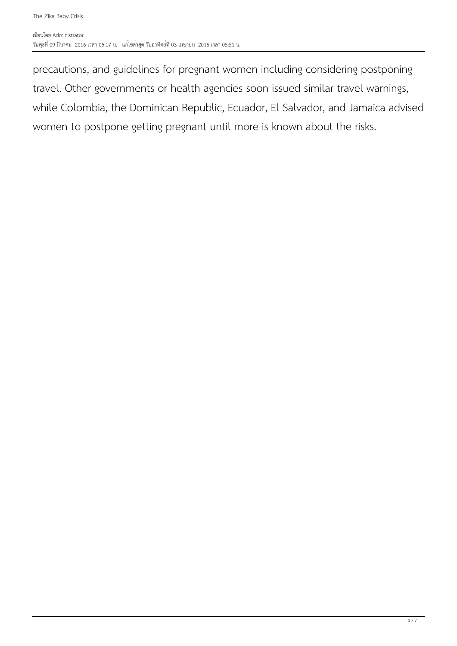precautions, and guidelines for pregnant women including considering postponing travel. Other governments or health agencies soon issued similar travel warnings, while Colombia, the Dominican Republic, Ecuador, El Salvador, and Jamaica advised women to postpone getting pregnant until more is known about the risks.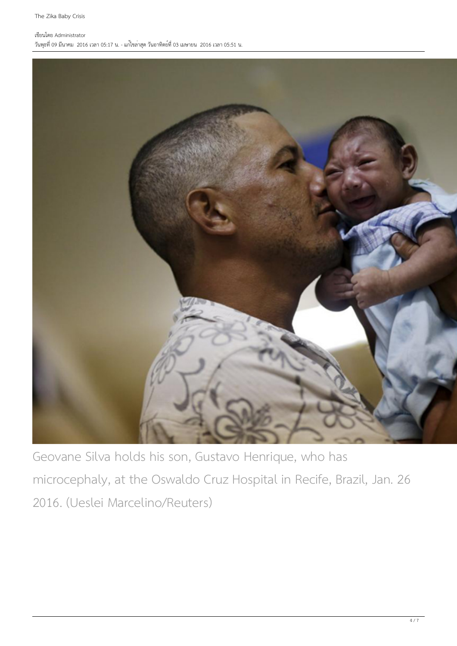### เขียนโดย Administrator

วันพุธที่ 09 มีนาคม 2016 เวลา 05:17 น. - แก้ไขล่าสุด วันอาทิตย์ที่ 03 เมษายน 2016 เวลา 05:51 น.



Geovane Silva holds his son, Gustavo Henrique, who has microcephaly, at the Oswaldo Cruz Hospital in Recife, Brazil, Jan. 26 2016. (Ueslei Marcelino/Reuters)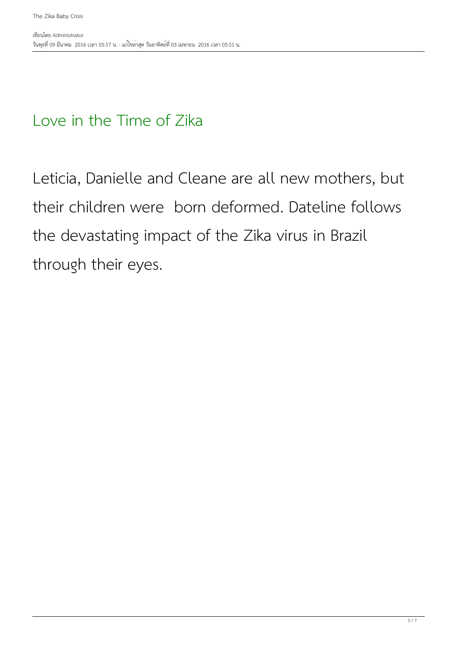## Love in the Time of Zika

Leticia, Danielle and Cleane are all new mothers, but their children were born deformed. Dateline follows the devastating impact of the Zika virus in Brazil through their eyes.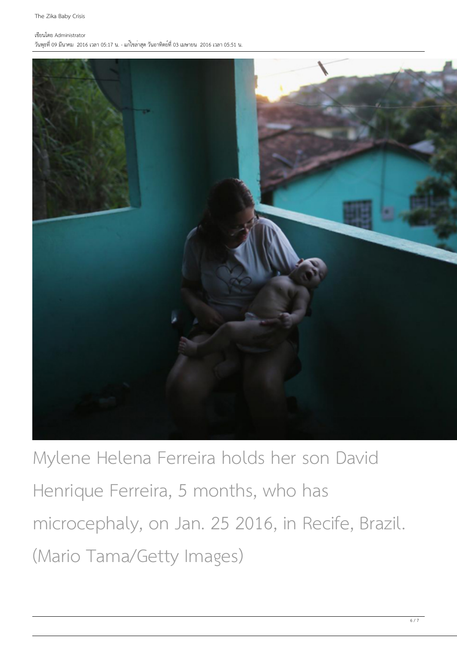### เขียนโดย Administrator

วันพุธที่ 09 มีนาคม 2016 เวลา 05:17 น. - แก้ไขล่าสุด วันอาทิตย์ที่ 03 เมษายน 2016 เวลา 05:51 น.



Mylene Helena Ferreira holds her son David Henrique Ferreira, 5 months, who has microcephaly, on Jan. 25 2016, in Recife, Brazil. (Mario Tama/Getty Images)